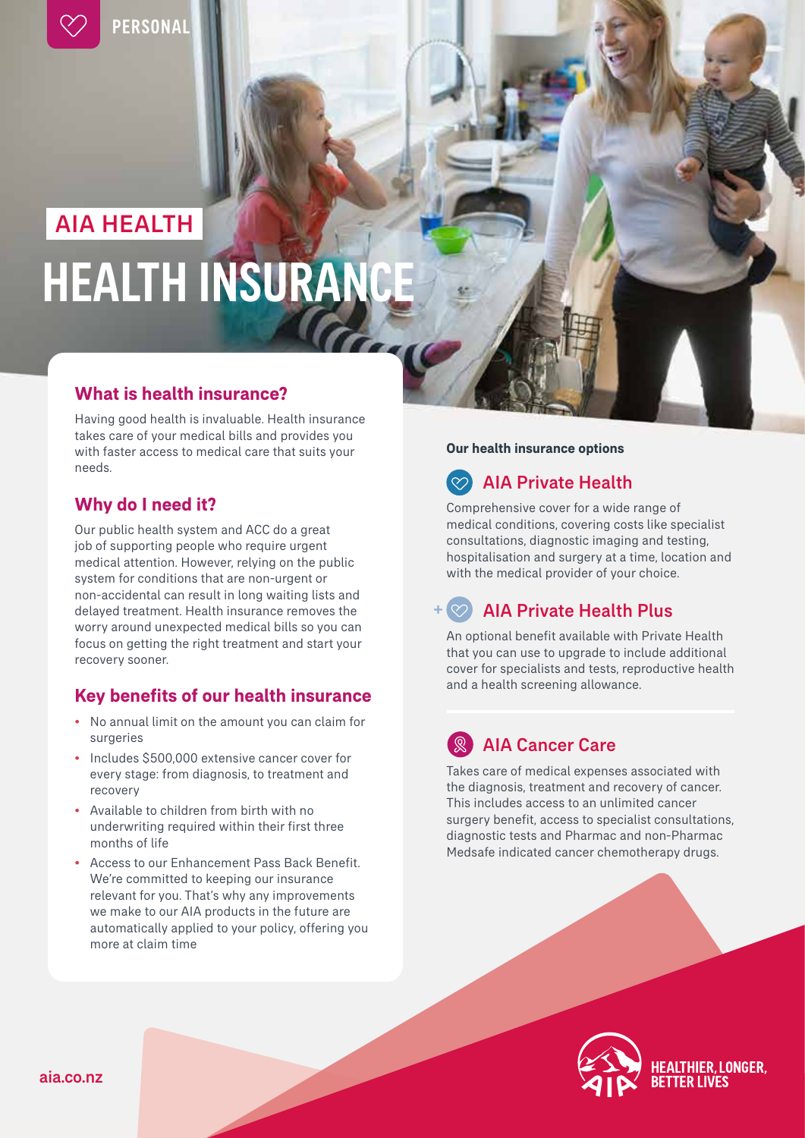

**PERSONAL** 

# **HEALTH INSURANC** AIA HEALTH

### **What is health insurance?**

Having good health is invaluable. Health insurance takes care of your medical bills and provides you with faster access to medical care that suits your needs.

### **Why do I need it?**

Our public health system and ACC do a great job of supporting people who require urgent medical attention. However, relying on the public system for conditions that are non-urgent or non-accidental can result in long waiting lists and delayed treatment. Health insurance removes the worry around unexpected medical bills so you can focus on getting the right treatment and start your recovery sooner.

### **Key benefits of our health insurance**

- No annual limit on the amount you can claim for surgeries
- Includes \$500,000 extensive cancer cover for every stage: from diagnosis, to treatment and recovery
- Available to children from birth with no underwriting required within their first three months of life
- Access to our Enhancement Pass Back Benefit. We're committed to keeping our insurance relevant for you. That's why any improvements we make to our AIA products in the future are automatically applied to your policy, offering you more at claim time

### **Our health insurance options**

## AIA Private Health

Comprehensive cover for a wide range of medical conditions, covering costs like specialist consultations, diagnostic imaging and testing, hospitalisation and surgery at a time, location and with the medical provider of your choice.

### AIA Private Health Plus

An optional benefit available with Private Health that you can use to upgrade to include additional cover for specialists and tests, reproductive health and a health screening allowance.

## AIA Cancer Care

Takes care of medical expenses associated with the diagnosis, treatment and recovery of cancer. This includes access to an unlimited cancer surgery benefit, access to specialist consultations, diagnostic tests and Pharmac and non-Pharmac Medsafe indicated cancer chemotherapy drugs.

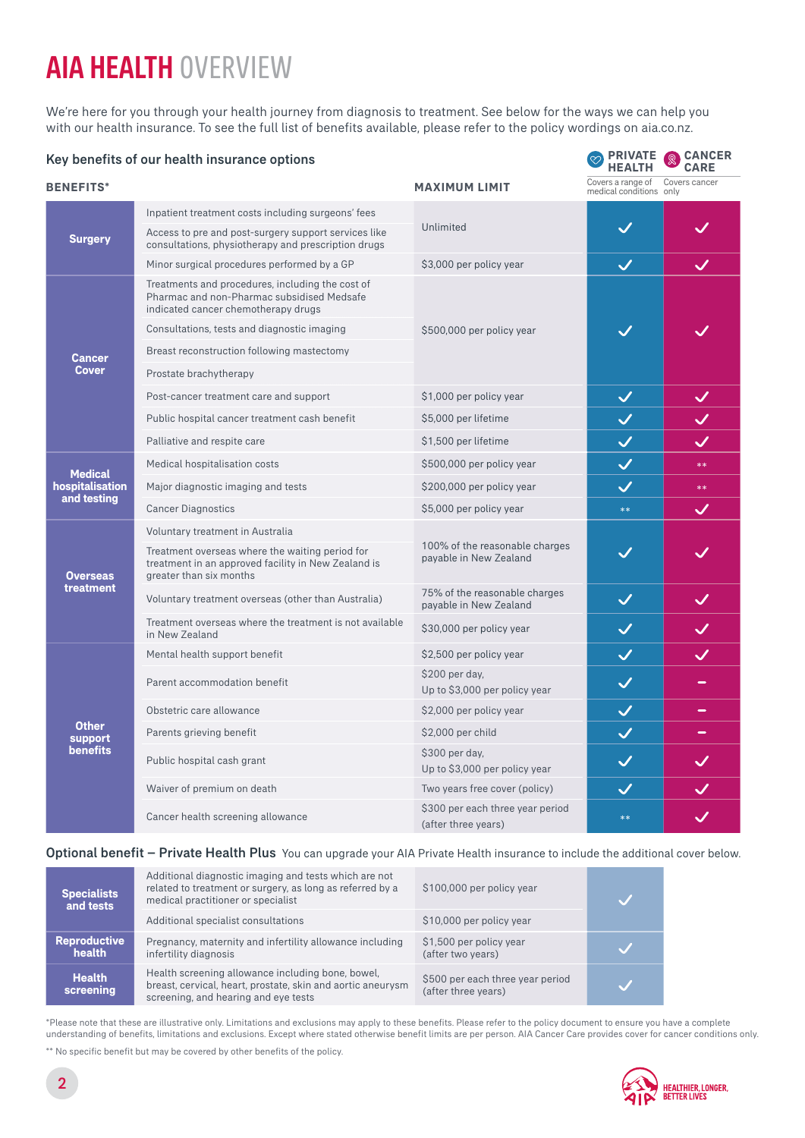# AIA HEALTH OVERVIEW

We're here for you through your health journey from diagnosis to treatment. See below for the ways we can help you with our health insurance. To see the full list of benefits available, please refer to the policy wordings on aia.co.nz.

| Key benefits of our health insurance options     | <b>PRIVATE</b><br><b>HEALTH</b>                                                                                                       | <b>CANCER</b><br>⊚<br><b>CARE</b>                        |                                              |               |
|--------------------------------------------------|---------------------------------------------------------------------------------------------------------------------------------------|----------------------------------------------------------|----------------------------------------------|---------------|
| <b>BENEFITS*</b>                                 |                                                                                                                                       | <b>MAXIMUM LIMIT</b>                                     | Covers a range of<br>medical conditions only | Covers cancer |
| <b>Surgery</b>                                   | Inpatient treatment costs including surgeons' fees                                                                                    |                                                          |                                              |               |
|                                                  | Access to pre and post-surgery support services like<br>consultations, physiotherapy and prescription drugs                           | Unlimited                                                | $\checkmark$                                 |               |
|                                                  | Minor surgical procedures performed by a GP                                                                                           | \$3,000 per policy year                                  | $\checkmark$                                 | $\checkmark$  |
| <b>Cancer</b><br><b>Cover</b>                    | Treatments and procedures, including the cost of<br>Pharmac and non-Pharmac subsidised Medsafe<br>indicated cancer chemotherapy drugs |                                                          |                                              |               |
|                                                  | Consultations, tests and diagnostic imaging                                                                                           | \$500,000 per policy year                                |                                              |               |
|                                                  | Breast reconstruction following mastectomy                                                                                            |                                                          |                                              |               |
|                                                  | Prostate brachytherapy                                                                                                                |                                                          |                                              |               |
|                                                  | Post-cancer treatment care and support                                                                                                | \$1,000 per policy year                                  | $\checkmark$                                 | $\checkmark$  |
|                                                  | Public hospital cancer treatment cash benefit                                                                                         | \$5,000 per lifetime                                     | $\checkmark$                                 | $\checkmark$  |
|                                                  | Palliative and respite care                                                                                                           | \$1,500 per lifetime                                     | $\checkmark$                                 | $\checkmark$  |
|                                                  | Medical hospitalisation costs                                                                                                         | \$500,000 per policy year                                | $\checkmark$                                 | $**$          |
| <b>Medical</b><br>hospitalisation<br>and testing | Major diagnostic imaging and tests                                                                                                    | \$200,000 per policy year                                | $\checkmark$                                 | $**$          |
|                                                  | <b>Cancer Diagnostics</b>                                                                                                             | \$5,000 per policy year                                  | $**$                                         | $\checkmark$  |
|                                                  | Voluntary treatment in Australia                                                                                                      |                                                          |                                              |               |
| <b>Overseas</b><br>treatment                     | Treatment overseas where the waiting period for<br>treatment in an approved facility in New Zealand is<br>greater than six months     | 100% of the reasonable charges<br>payable in New Zealand | $\checkmark$                                 |               |
|                                                  | Voluntary treatment overseas (other than Australia)                                                                                   | 75% of the reasonable charges<br>payable in New Zealand  | $\checkmark$                                 | $\checkmark$  |
|                                                  | Treatment overseas where the treatment is not available<br>in New Zealand                                                             | \$30,000 per policy year                                 | $\checkmark$                                 | $\checkmark$  |
| <b>Other</b><br>support<br><b>benefits</b>       | Mental health support benefit                                                                                                         | \$2,500 per policy year                                  | $\checkmark$                                 | $\checkmark$  |
|                                                  | Parent accommodation benefit                                                                                                          | \$200 per day,<br>Up to \$3,000 per policy year          | $\checkmark$                                 |               |
|                                                  | Obstetric care allowance                                                                                                              | \$2,000 per policy year                                  | $\checkmark$                                 | $\equiv$      |
|                                                  | Parents grieving benefit                                                                                                              | \$2,000 per child                                        | $\checkmark$                                 | -             |
|                                                  | Public hospital cash grant                                                                                                            | \$300 per day,<br>Up to \$3,000 per policy year          | $\bm{\mathcal{U}}$                           | $\checkmark$  |
|                                                  | Waiver of premium on death                                                                                                            | Two years free cover (policy)                            | $\checkmark$                                 |               |
|                                                  | Cancer health screening allowance                                                                                                     | \$300 per each three year period<br>(after three years)  | $**$                                         |               |

Optional benefit – Private Health Plus You can upgrade your AIA Private Health insurance to include the additional cover below.

| <b>Specialists</b><br>and tests | Additional diagnostic imaging and tests which are not<br>related to treatment or surgery, as long as referred by a<br>medical practitioner or specialist | \$100,000 per policy year                               |  |  |
|---------------------------------|----------------------------------------------------------------------------------------------------------------------------------------------------------|---------------------------------------------------------|--|--|
|                                 | Additional specialist consultations                                                                                                                      | \$10,000 per policy year                                |  |  |
| <b>Reproductive</b><br>health   | Pregnancy, maternity and infertility allowance including<br>infertility diagnosis                                                                        | \$1,500 per policy year<br>(after two years)            |  |  |
| <b>Health</b><br>screening      | Health screening allowance including bone, bowel,<br>breast, cervical, heart, prostate, skin and aortic aneurysm<br>screening, and hearing and eye tests | \$500 per each three year period<br>(after three years) |  |  |

\*Please note that these are illustrative only. Limitations and exclusions may apply to these benefits. Please refer to the policy document to ensure you have a complete understanding of benefits, limitations and exclusions. Except where stated otherwise benefit limits are per person. AIA Cancer Care provides cover for cancer conditions only.

\*\* No specific benefit but may be covered by other benefits of the policy.

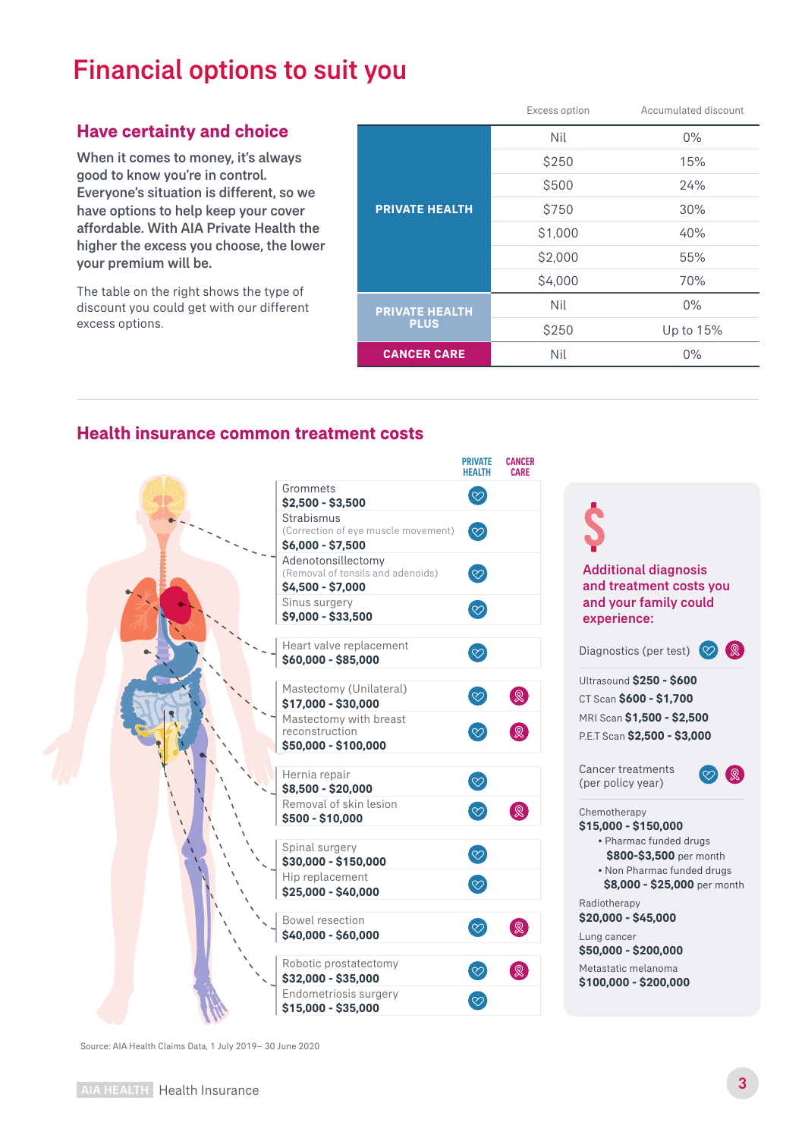# Financial options to suit you

### **Have certainty and choice**

When it comes to money, it's always good to know you're in control. Everyone's situation is different, so we have options to help keep your cover affordable. With AIA Private Health the higher the excess you choose, the lower your premium will be.

The table on the right shows the type of discount you could get with our different excess options.

|                       | Excess option | Accumulated discount |
|-----------------------|---------------|----------------------|
|                       | Nil           | $0\%$                |
|                       | \$250         | 15%                  |
|                       | \$500         | 24%                  |
| <b>PRIVATE HEALTH</b> | \$750         | 30%                  |
|                       | \$1,000       | 40%                  |
|                       | \$2,000       | 55%                  |
|                       | \$4,000       | 70%                  |
| <b>PRIVATE HEALTH</b> | Nil           | $0\%$                |
| <b>PLUS</b>           | \$250         | Up to 15%            |
| <b>CANCER CARE</b>    | Nil           | $0\%$                |
|                       |               |                      |

### **Health insurance common treatment costs**



Additional diagnosis and treatment costs you and your family could experience:

Diagnostics (per test)  $\heartsuit$   $\heartsuit$ Ultrasound **\$250 - \$600** CT Scan **\$600 - \$1,700** MRI Scan **\$1,500 - \$2,500**

P.E.T Scan **\$2,500 - \$3,000**

Cancer treatments (per policy year)



Chemotherapy

- **\$15,000 \$150,000** • Pharmac funded drugs  **\$800-\$3,500** per month • Non Pharmac funded drugs
	- **\$8,000 \$25,000** per month

Radiotherapy **\$20,000 - \$45,000**

Lung cancer **\$50,000 - \$200,000**

Metastatic melanoma **\$100,000 - \$200,000**

Source: AIA Health Claims Data, 1 July 2019– 30 June 2020